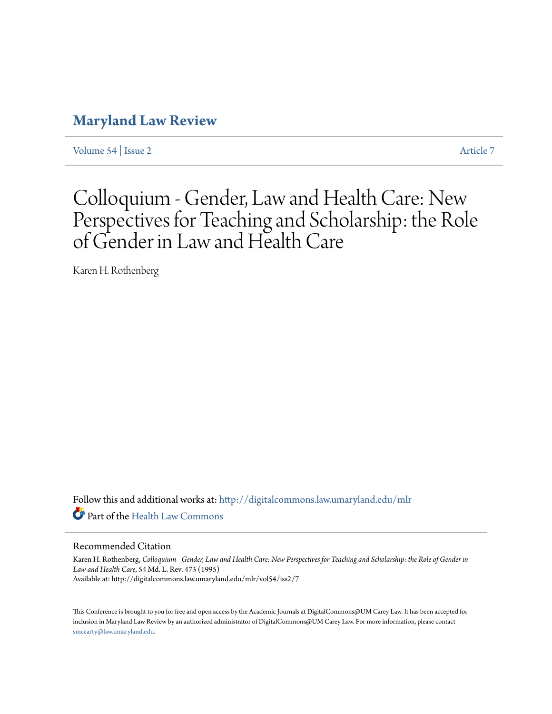# **[Maryland Law Review](http://digitalcommons.law.umaryland.edu/mlr?utm_source=digitalcommons.law.umaryland.edu%2Fmlr%2Fvol54%2Fiss2%2F7&utm_medium=PDF&utm_campaign=PDFCoverPages)**

[Volume 54](http://digitalcommons.law.umaryland.edu/mlr/vol54?utm_source=digitalcommons.law.umaryland.edu%2Fmlr%2Fvol54%2Fiss2%2F7&utm_medium=PDF&utm_campaign=PDFCoverPages) | [Issue 2](http://digitalcommons.law.umaryland.edu/mlr/vol54/iss2?utm_source=digitalcommons.law.umaryland.edu%2Fmlr%2Fvol54%2Fiss2%2F7&utm_medium=PDF&utm_campaign=PDFCoverPages) [Article 7](http://digitalcommons.law.umaryland.edu/mlr/vol54/iss2/7?utm_source=digitalcommons.law.umaryland.edu%2Fmlr%2Fvol54%2Fiss2%2F7&utm_medium=PDF&utm_campaign=PDFCoverPages)

# Colloquium - Gender, Law and Health Care: New Perspectives for Teaching and Scholarship: the Role of Gender in Law and Health Care

Karen H. Rothenberg

Follow this and additional works at: [http://digitalcommons.law.umaryland.edu/mlr](http://digitalcommons.law.umaryland.edu/mlr?utm_source=digitalcommons.law.umaryland.edu%2Fmlr%2Fvol54%2Fiss2%2F7&utm_medium=PDF&utm_campaign=PDFCoverPages) Part of the [Health Law Commons](http://network.bepress.com/hgg/discipline/901?utm_source=digitalcommons.law.umaryland.edu%2Fmlr%2Fvol54%2Fiss2%2F7&utm_medium=PDF&utm_campaign=PDFCoverPages)

#### Recommended Citation

Karen H. Rothenberg, *Colloquium - Gender, Law and Health Care: New Perspectives for Teaching and Scholarship: the Role of Gender in Law and Health Care*, 54 Md. L. Rev. 473 (1995) Available at: http://digitalcommons.law.umaryland.edu/mlr/vol54/iss2/7

This Conference is brought to you for free and open access by the Academic Journals at DigitalCommons@UM Carey Law. It has been accepted for inclusion in Maryland Law Review by an authorized administrator of DigitalCommons@UM Carey Law. For more information, please contact [smccarty@law.umaryland.edu.](mailto:smccarty@law.umaryland.edu)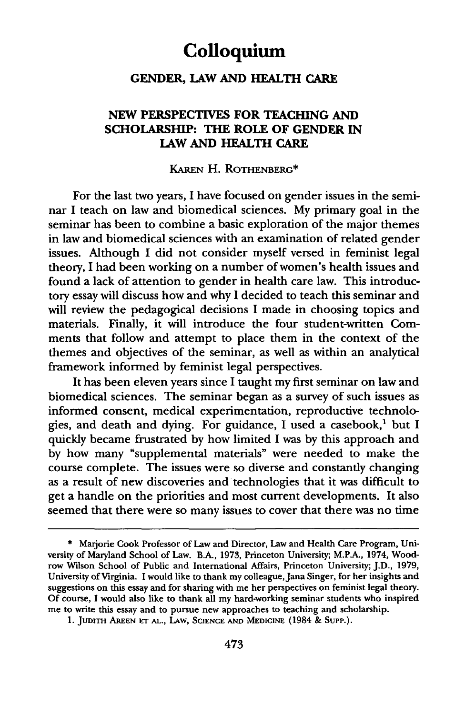# **Colloquium**

### **GENDER, LAW AND HEALTH CARE**

### **NEW PERSPECTIVES FOR TEACHING AND SCHOLARSHIP: THE ROLE OF GENDER IN LAW AND HEALTH CARE**

#### KAREN **H.** ROTHENBERG\*

For the last two years, I have focused on gender issues in the seminar I teach on law and biomedical sciences. My primary goal in the seminar has been to combine a basic exploration of the major themes in law and biomedical sciences with an examination of related gender issues. Although **I** did not consider myself versed in feminist legal theory, I had been working on a number of women's health issues and found a lack of attention to gender in health care law. This introductory essay will discuss how and why I decided to teach this seminar and will review the pedagogical decisions I made in choosing topics and materials. Finally, it will introduce the four student-written Comments that follow and attempt to place them in the context of the themes and objectives of the seminar, as well as within an analytical framework informed by feminist legal perspectives.

It has been eleven years since I taught my first seminar on law and biomedical sciences. The seminar began as a survey of such issues as informed consent, medical experimentation, reproductive technologies, and death and dying. For guidance, I used a casebook,' but I quickly became frustrated by how limited I was by this approach and by how many "supplemental materials" were needed to make the course complete. The issues were so diverse and constantly changing as a result of new discoveries and technologies that it was difficult to get a handle on the priorities and most current developments. It also seemed that there were so many issues to cover that there was no time

**<sup>\*</sup>** Marjorie Cook Professor of Law and Director, Law and Health Care Program, University of Maryland School of Law. **B.A., 1973,** Princeton University; M.P.A., 1974, Woodrow Wilson School of Public and International Affairs, Princeton University; **J.D., 1979,** University of Virginia. **I** would like to thank my colleague,Jana Singer, for her insights and suggestions on this essay and for sharing with me her perspectives on feminist legal theory. **Of** course, I would also like to thank all my hard-working seminar students who inspired me to write this essay and to pursue new approaches to teaching and scholarship.

**<sup>1.</sup> JUDITH AREEN ET AL.,** LAw, SCIENCE **AND MEDICINE** (1984 & SupP.).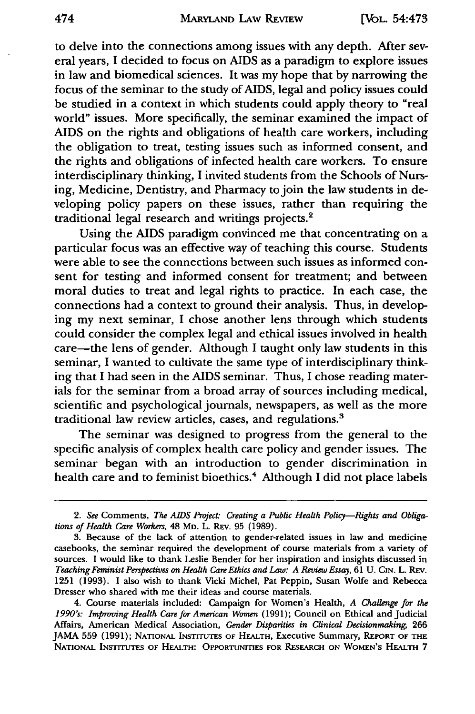to delve into the connections among issues with any depth. After several years, I decided to focus on AIDS as a paradigm to explore issues in law and biomedical sciences. It was my hope that by narrowing the focus of the seminar to the study of AIDS, legal and policy issues could be studied in a context in which students could apply theory to "real world" issues. More specifically, the seminar examined the impact of AIDS on the rights and obligations of health care workers, including the obligation to treat, testing issues such as informed consent, and the rights and obligations of infected health care workers. To ensure interdisciplinary thinking, I invited students from the Schools of Nursing, Medicine, Dentistry, and Pharmacy to join the law students in developing policy papers on these issues, rather than requiring the traditional legal research and writings projects.'

Using the AIDS paradigm convinced me that concentrating on a particular focus was an effective way of teaching this course. Students were able to see the connections between such issues as informed consent for testing and informed consent for treatment; and between moral duties to treat and legal rights to practice. In each case, the connections had a context to ground their analysis. Thus, in developing my next seminar, I chose another lens through which students could consider the complex legal and ethical issues involved in health care—the lens of gender. Although I taught only law students in this seminar, I wanted to cultivate the same type of interdisciplinary thinking that I had seen in the AIDS seminar. Thus, I chose reading materials for the seminar from a broad array of sources including medical, scientific and psychological journals, newspapers, as well as the more traditional law review articles, cases, and regulations.'

The seminar was designed to progress from the general to the specific analysis of complex health care policy and gender issues. The seminar began with an introduction to gender discrimination in health care and to feminist bioethics.<sup>4</sup> Although I did not place labels

*<sup>2.</sup> See* Comments, *The AIDS Project: Creating a Public Health Policy-Rights and Obligations of Health Care Workers,* 48 MD. L. REv. 95 (1989).

<sup>3.</sup> Because of the lack of attention to gender-related issues in law and medicine casebooks, the seminar required the development of course materials from a variety of sources. I would like to thank Leslie Bender for her inspiration and insights discussed in *Teaching Feminist Perspectives on Health Care Ethics and Law: A Review Essay,* 61 U. CIN. L. REv. 1251 (1993). I also wish to thank Vicki Michel, Pat Peppin, Susan Wolfe and Rebecca Dresser who shared with me their ideas and course materials.

<sup>4.</sup> Course materials included: Campaign for Women's Health, *A Challenge for the 1990's: Improving Health Care for American Women* (1991); Council on Ethical and Judicial Affairs, American Medical Association, *Gender Disparities in Clinical Decisionmaking,* 266 JAMA 559 (1991); NATIONAL INsTrrurrs **OF** HEALTH, Executive Summary, REPORT **OF** THE **NATIONAL INSTrTTEs OF** HEALTH: **OPPORTUNITIES FOR RESEARCH ON WOMEN'S HEALTH 7**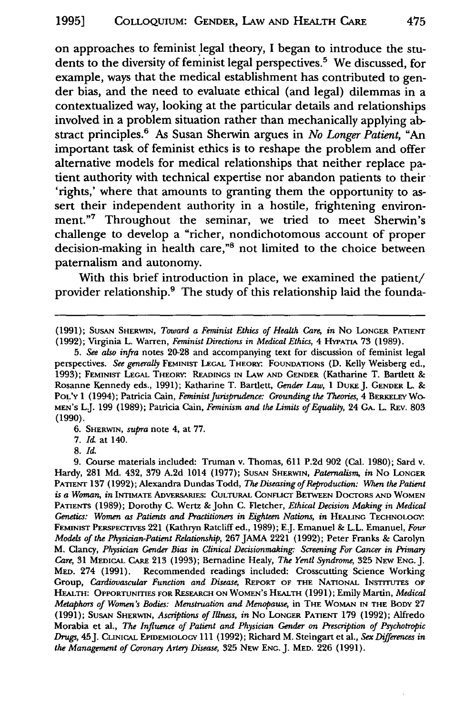on approaches to feminist legal theory, I began to introduce the students to the diversity of feminist legal perspectives.5 We discussed, for example, ways that the medical establishment has contributed to gender bias, and the need to evaluate ethical (and legal) dilemmas in a contextualized way, looking at the particular details and relationships involved in a problem situation rather than mechanically applying abstract principles.6 As Susan Sherwin argues in *No Longer Patient,* "An important task of feminist ethics is to reshape the problem and offer alternative models for medical relationships that neither replace patient authority with technical expertise nor abandon patients to their 'rights,' where that amounts to granting them the opportunity to assert their independent authority in a hostile, frightening environment."7 Throughout the seminar, we tried to meet Sherwin's challenge to develop a "richer, nondichotomous account of proper decision-making in health care,"8 not limited to the choice between paternalism and autonomy.

With this brief introduction in place, we examined the patient/ provider relationship.9 The study of this relationship laid the founda-

(1991); SUSAN SHERWIN, *Toward a Feminist Ethics of Health Care*, in No LONGER PATIENT (1992); Virginia L. Warren, *Feminist Directions in Medical Ethics,* 4 **HYPATIA** 73 (1989).

*5. See also infra* notes 20-28 and accompanying text for discussion of feminist legal perspectives. *See generally* FEMINIST LEGAL THEORY- **FOUNDATIONS** (D. Kelly Weisberg ed., 1993); FEMINIST **LEGAL THEORY.** READINGS **IN** LAW **AND GENDER** (Katharine T. Bartlett & Rosanne Kennedy eds., 1991); Katharine T. Bartlett, *Gender Law*, 1 DUKE J. GENDER L. & **POL'Y** 1 (1994); Patricia Cain, *Feminist Jurisprudence: Grounding the Theories,* 4 **BERKELEY** Wo-MEN'S LJ. 199 (1989); Patricia Cain, *Feminism and the Limits of Equality,* 24 **GA.** L. REv. 803 **(1990).**

**6. SHERWIN,** *supra* note 4, at **77.**

**7. Id** at 140.

9. Course materials included: Truman v. Thomas, 611 P.2d 902 (Cal. 1980); Sard v. Hardy, 281 Md. 432, 379 A.2d 1014 (1977); **SUSAN** SHERWIN, *Paternalism, in* No **LONGER PATIENT** 137 (1992); Alexandra Dundas Todd, *The Diseasing of Reproduction:* When *the Patient is a Woman, in* INTIMATE ADVERSAMEs: **CULTURAL** CONFLICT **BETWEEN** DocTORS **AND** WOMEN PATIENTS (1989); Dorothy C. Wertz **&** John **C.** Fletcher, *Ethical Decision Making in Medical Genetics: Women as Patients and Practitioners in Eighteen Nations, in* HEALING **TECHNOLOGY.** FEMINIST **PERSPECTIVES** 221 (Kathryn Ratcliff ed., 1989); E.J. Emanuel **&** L.L. Emanuel, *Four Models of the Physician-Patient Relationship,* **267** JAMA 2221 (1992); Peter Franks **&** Carolyn M. Clancy, *Physician Gender Bias in Clinical Decisionmaking: Screening For Cancer in Primary Care,* **31** MEDicAL CARE **213** (1993); Bernadine Healy, *The Yentl Syndrome,* **325 NEW ENG.** J. MED. 274 (1991). Recommended readings included: Crosscutting Science Working Group, *Cardiovascular Function and Disease,* **REPORT** OF **THE NATIONAL INSTITUTES OF** HEALTH: **OPPORTUNITIES FOR RESEARCH ON** WOMEN'S **HEALTH** (1991); Emily Martin, *Medical Metaphors of Women's Bodies: Menstruation and Menopause,* in **THE** WOMAN **IN THE BODY 27 (1991); SUSAN SHERWIN,** *Ascriptions ofIllness, in* No **LONGER PATIENT 179 (1992);** Alfredo Morabia et al., *The Influence of Patient and Physician Gender on Prescription of Psychotropic Drugs,* 45J. CLINIcAL EPIDEMIOLOGY 111 (1992); Richard M. Steingart et al., *Sex Differences in the Management of Coronary Artery Disease,* 325 NEW **ENG. J. MED.** 226 (1991).

**<sup>8.</sup>** *Id.*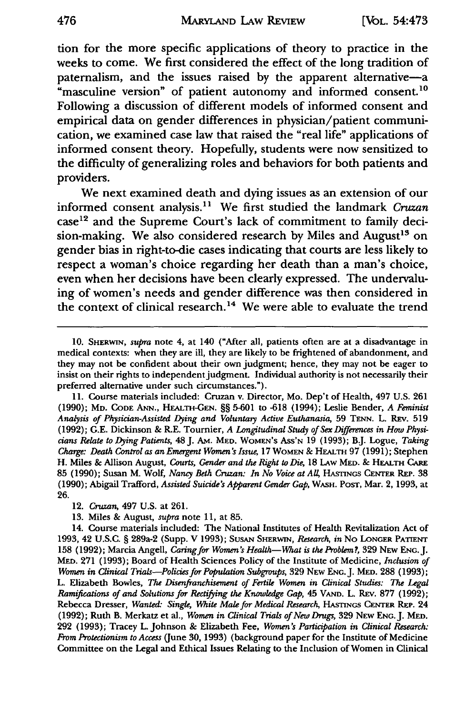**tion** for the more specific applications of theory to practice in the weeks to come. We first considered the effect of the long tradition of paternalism, and the issues raised **by** the apparent alternative-a "masculine version" of patient autonomy and informed consent.<sup>10</sup> Following a discussion of different models of informed consent and empirical data on gender differences in physician/patient communication, we examined case law that raised the "real life" applications of informed consent theory. Hopefully, students were now sensitized to the difficulty of generalizing roles and behaviors for both patients and providers.

We next examined death and dying issues as an extension of our informed consent analysis.'" We first studied the landmark *Cruzan* case<sup>12</sup> and the Supreme Court's lack of commitment to family decision-making. We also considered research **by** Miles and August'3 on gender bias in right-to-die cases indicating that courts are less likely to respect a woman's choice regarding her death than a man's choice, even when her decisions have been clearly expressed. The undervaluing of women's needs and gender difference was then considered in the context of clinical research.<sup>14</sup> We were able to evaluate the trend

<sup>10.</sup> **SHERWIN,** *supra* note 4, at 140 ("After all, patients often are at a disadvantage in medical contexts: when they are ill, they are likely to be frightened of abandonment, and they may not be confident about their own judgment; hence, they may not be eager to insist on their rights to independent judgment. Individual authority is not necessarily their preferred alternative under such circumstances.").

<sup>11.</sup> Course materials included: Cruzan v. Director, Mo. Dep't of Health, 497 U.S. 261 (1990); MD. **CODE ANN.,** HEALTH-GEN. §§ 5-601 to -618 (1994); Leslie Bender, *A Feminist Analysis of Physician-Assisted Dying and Voluntary Active Euthanasia,* 59 TENN. L. REv. 519 (1992); G.E. Dickinson & R.E. Tournier, *A Longitudinal Study of Sex Differences in How Physicians Relate to Dying Patients,* 48J. AM. MED. **WOMEN'S** Ass'N 19 (1993); B.J. Logue, *Taking Charge: Death Control as an Emergent Women's Issue,* 17 WOMEN & HEALTH 97 (1991); Stephen H. Miles & Allison August, *Courts, Gender and the Right to Die,* 18 LAW MED. & HEALTH *CARE* **85** (1990); Susan M. Wolf, *Nancy Beth Cruzan: In No Voice at All* HASTINGs **CENTER REP.** 38 (1990); Abigail Trafford, *Assisted Suicide's Apparent Gender Gap,* WASH. POST, Mar. 2, 1993, at 26.

<sup>12.</sup> *Cruzan,* 497 U.S. at 261.

<sup>13.</sup> Miles & August, *supra* note 11, at 85.

<sup>14.</sup> Course materials included: The National Institutes of Health Revitalization Act of 1993, 42 U.S.C. § 289a-2 (Supp. V 1993); **SUSAN SHERWIN,** *Research, in* No **LONGER** PATIENT 158 (1992); Marcia Angell, *Caring for Women's Health-What is the Problem?,* 329 NEW **ENG.J.** MED. 271 (1993); Board of Health Sciences Policy of the Institute of Medicine, *Inclusion of Women in Clinical Trials-Policies for Population Subgroups,* 329 NEW **ENG.** J. MED. 288 (1993); L. Elizabeth Bowles, *The Disenfranchisement of Fertile Women in Clinical Studies: The Legal Ramifications of and Solutions for Rectifying the Knowledge Gap,* 45 **VAND.** L. REv. 877 (1992); Rebecca Dresser, *Wanted: Single, White Male for Medical Research,* HASTINGS **CENTER** REP. 24 (1992); Ruth B. Merkatz et al., *Women in Clinical Trials of New Drugs,* 329 **NEW ENG.J. MED.** 292 (1993); Tracey L. Johnson & Elizabeth Fee, *Women's Participation in Clinical Research: From Protectionism to Access* (June 30, 1993) (background paper for the Institute of Medicine Committee on the Legal and Ethical Issues Relating to the Inclusion of Women in Clinical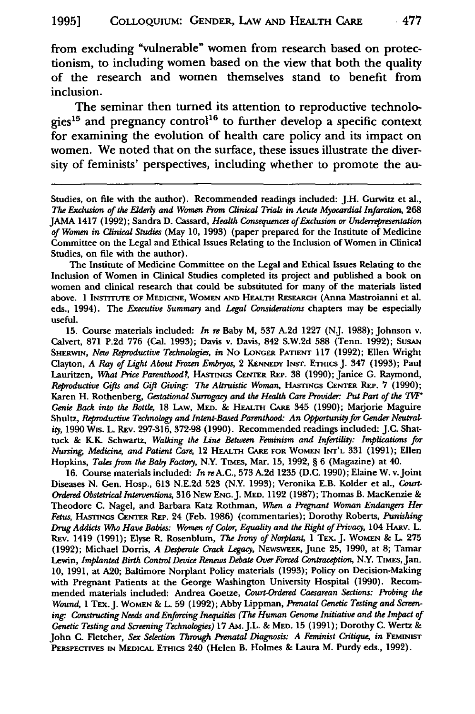from excluding "vulnerable" women from research based on protectionism, to including women based on the view that both the quality of the research and women themselves stand to benefit from inclusion.

The seminar then turned its attention to reproductive technologies<sup>15</sup> and pregnancy control<sup>16</sup> to further develop a specific context for examining the evolution of health care policy and its impact on women. We noted that on the surface, these issues illustrate the diversity of feminists' perspectives, including whether to promote the au-

Studies, on file with the author). Recommended readings included: J.H. Gurwitz et al., *The Exclusion of the Elderly and Women From Clinical Trials in Acute Myocardial Infarction,* 268 JAMA 1417 (1992); Sandra **D.** Cassard, *Health Consequences of Exclusion or Underrepresentation of Women in Clinical Studies* (May 10, 1993) (paper prepared for the Institute of Medicine Committee on the Legal and Ethical Issues Relating to the Inclusion of Women in Clinical Studies, on file with the author).

The Institute of Medicine Committee on the Legal and Ethical Issues Relating to the Inclusion of Women in Clinical Studies completed its project and published a book on women and clinical research that could be substituted for many of the materials listed above. 1 **INSTITUTE OF MEDICINE,** WOMEN **AND** HEALTH **REsEARCH** (Anna Mastroianni et al. eds., 1994). The *Executive Summary* and *Legal Considerations* chapters may be especially useful.

15. Course materials included: *In re* Baby M, **537 A.2d** 1227 (NJ. 1988); Johnson v. Calvert, 871 **P.2d 776** (Cal. 1993); Davis v. Davis, 842 S.W.2d 588 (Tenn. 1992); SusAN SHERwIN, *New Reproductive Technologies, in* No LONGER **PATIENT** 117 (1992); Ellen Wright Clayton, *A Ray of Light About Frozen Embryos,* 2 **KENNEDY INST.** ETmics J. 347 **(1993);** Paul Lauritzen, What Price Parenthood?, HASTINGS CENTER REP. 38 (1990); Janice G. Raymond, *Reproductive Gifts and Gift Giving- The Altruistic Woman,* **HASTINGS CENTER** REP,. 7 **(1990);** Karen H. Rothenberg, *Gestational Surrogacy and the Health Care Provider: Put Part of the IVW" Genie Back into the Bottle,* 18 LAw, MED. & **HEALTH CARE** 345 (1990); Marjorie Maguire Shultz, *Reproductive Technology and Intent-Based Parenthood: An Opportunity for Gender Neutrality,* 1990 Wis. L. REv. 297-316, 372-98 (1990). Recommended readings included: J.C. Shattuck & ILK. Schwartz, *Walking the Line Between Feminism and Infertility: Implications for Nursing, Medicine, and Patient Care,* 12 HE.ATH CARE **FOR** WOMEN **INT'L** 331 (1991); Ellen Hopkins, *Tales from the Baby Factoy,* N.Y. TiMEs, Mar. **15,** 1992, § 6 (Magazine) at 40.

16. Course materials included: *In* reA.C., 573 A.2d 1235 (D.C. 1990); Elaine W. v.Joint Diseases N. Gen. Hosp., 613 N.E.2d **523** (N.Y. 1993); Veronika E.B. Kolder et al., *Court-Ordered Obstetrical Interventions,* 316 NEw **ENG.J.** MED. 1192 (1987); Thomas B. MacKenzie & Theodore **C.** Nagel, and Barbara Katz Rothman, *When a Pregnant Woman Endangers Her Fetus,* HAsmcs **CrErrER REP.** 24 (Feb. **1986)** (commentaries); Dorothy Roberts, *Punishing Drug Addicts Who Have Babies: Women of Color, Equality and the Right of Privacy,* 104 **HARv.** L. REv. 1419 (1991); Elyse R. Rosenblum, *The Irony of Norplant,* 1 TEX. J. **WOMEN** & L. **275** (1992); Michael Dorris, *A Desperate Crack Legacy,* NEwswEFI, June **25,** 1990, at 8; Tamar Lewin, *Implanted Birth Control Device Renews Debate Over Forced Contraception*, N.Y. TIMES, Jan. 10, 1991, at A20; Baltimore Norplant Policy materials (1993); Policy on Decision-Making with Pregnant Patients at the George Washington University Hospital (1990). Recommended materials included: Andrea Goetze, *Court-Ordered Caesarean Sections: Probing the Wound,* **I** TEX.J. WOMEN & L. 59 (1992); Abby Lippman, *Prenatal Genetic Testing and Screen*ing: Constructing Needs and Enforcing Inequities (The Human Genome Initiative and the Impact of *Genetic Testing and Screening Technologies)* 17 AM.J.L. & **MED. 15** (1991); Dorothy **C.** Wertz & John **C.** Fletcher, *Sex Selection Through Prenatal Diagnosis: A Feminist Citique, in FEMINIS* **PERsPEcrIVES** IN MEDICAL ETHICs 240 (Helen B. Holmes & Laura M. Purdy eds., 1992).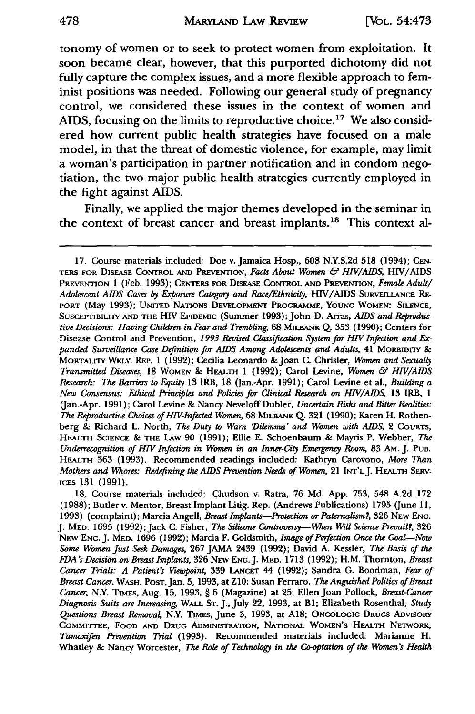tonomy of women or to seek to protect women from exploitation. It soon became clear, however, that this purported dichotomy did not fully capture the complex issues, and a more flexible approach to feminist positions was needed. Following our general study of pregnancy control, we considered these issues in the context of women and AIDS, focusing on the limits to reproductive choice.<sup>17</sup> We also considered how current public health strategies have focused on a male model, in that the threat of domestic violence, for example, may limit a woman's participation in partner notification and in condom negotiation, the two major public health strategies currently employed in the fight against AIDS.

Finally, we applied the major themes developed in the seminar in the context of breast cancer and breast implants.18 This context al-

**<sup>17.</sup>** Course materials included: Doe v. Jamaica Hosp., 608 N.Y.S.2d **518** (1994); CEN-TERS FOR DISEASE CONTROL **AND** PREVENTION, *Facts About Women & HIV/AIDS,* HIV/AIDS PREVENTION 1 (Feb. 1993); **CENTERS** FOR DISEASE CONTROL **AND** PREVENTION, *Female Adult/ Adolescent AIDS Cases by Exposure Category and Race/Ethnicity,* HIV/AIDS SURVEILLANCE RE-PORT (May 1993); UNITED NATIONS DEVELOPMENT PROGRAMME, **YOUNG** WOMEN: SILENCE, SuSCEPTiBILrY **AND THE** HIV EPIDEMIC (Summer 1993); John D. Aras, *AIDS and Reproductive Decisions: Having Children in Fear and Trembling,* 68 MILnANK Q. **353** (1990); Centers for Disease Control and Prevention, *1993 Revised Classification System for HIV Infection and Expanded Surveillance Case Definition for AIDS Among Adolescents and Adults,* 41 MORBIDITY & MORTALrIY WKLv. **REP.** 1 (1992); Cecilia Leonardo & Joan C. Chrisler, *Women and Sexually Transmitted Diseases,* 18 WOMEN & HEALTH 1 (1992); Carol Levine, *Women & HIV/AIDS Research: The Barriers to Equity* 13 IRB, 18 (Jan.-Apr. 1991); Carol Levine et al., *Building a New Consensus: Ethical Principles and Policies for Clinical Research on HIV/AIDS,* 13 IRB, 1 (Jan.-Apr. 1991); Carol Levine & Nancy Neveloff Dubler, *Uncertain Risks and Bitter Realities: The Reproductive Choices of HIV-Infected Women,* 68 MILBANK **Q.** 321 (1990); Karen H. Rothenberg & Richard L. North, *The Duty to Warn 'Dilemma' and Women with AIDS,* 2 COURTS, HEALTH **SCIENCE** & **THE** LAw 90 (1991); Ellie E. Schoenbaum & Mayris P. Webber, *The Underrecognition of HIV Infection in Women in an Inner-City Emergency Room,* 83 AM. J. **PUB.** HEALTH 363 (1993). Recommended readings included: Kathryn Carovono, *More Than Mothers and Whores: Redefining the AIDS Prevention Needs of Women, 21 INT'L J. HEALTH SERV-***ICES** 131 (1991).

<sup>18.</sup> Course materials included: Chudson v. Ratra, 76 Md. App. 753, 548 A.2d 172 (1988); Butler v. Mentor, Breast Implant Litig. Rep. (Andrews Publications) 1795 (June 11, 1993) (complaint); Marcia Angell, *Breast Implants-Protection or Paternalism?,* 326 **NEW ENG.** J. MED. 1695 (1992); Jack C. Fisher, *The Silicone Controversy-When Will Science Prevail?,* 326 **NEw ENG.** J. **MED.** 1696 (1992); Marcia F. Goldsmith, *Image of Perfection Once the Goal-Now Some Women Just Seek Damages,* 267 **JAMA** 2439 (1992); David **A.** Kessler, *The Basis of the ]DA's Decision on Breast Implants,* 326 NEw ENG.J. MED. 1713 (1992); H.M. Thornton, *Breast Cancer Trials: A Patient's Viewpoint,* 339 LANCET 44 (1992); Sandra G. Boodman, *Fear of Breast Cancer,* WASH. PosT,Jan. 5, 1993, at Z1O; Susan Ferraro, *The Anguished Politics of Breast Cancer,* N.Y. TIMES, Aug. 15, 1993, § 6 (Magazine) at **25;** Ellen Joan Pollock, *Breast-Cancer Diagnosis Suits are Increasing,* WALL **ST.** J., July 22, 1993, at BI; Elizabeth Rosenthal, *Study Questions Breast Removal,* N.Y. TIMES, June 3, 1993, at **A18;** ONCOLOGIC DRUGS ADVISORY COMMrrTEE, FOOD **AND DRUG ADMINISTRATION,** NATIONAL WOMEN'S HEALTH NETWORK, *Tamoxifen Prevention Trial* (1993). Recommended materials included: Marianne H. Whatley & Nancy Worcester, *The Role of Technology in the Co-optation of the Women's Health*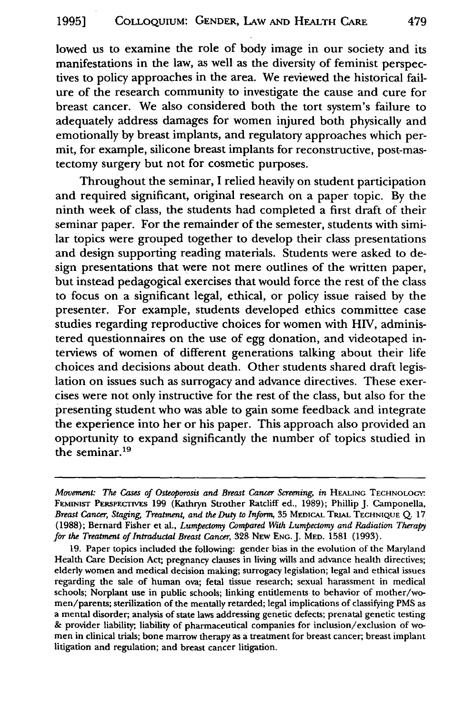lowed us to examine the role of body image in our society and its manifestations in the law, as well as the diversity of feminist perspectives to policy approaches in the area. We reviewed the historical failure of the research community to investigate the cause and cure for breast cancer. We also considered both the tort system's failure to adequately address damages for women injured both physically and emotionally by breast implants, and regulatory approaches which permit, for example, silicone breast implants for reconstructive, post-mastectomy surgery but not for cosmetic purposes.

Throughout the seminar, I relied heavily on student participation and required significant, original research on a paper topic. By the ninth week of class, the students had completed a first draft of their seminar paper. For the remainder of the semester, students with similar topics were grouped together to develop their class presentations and design supporting reading materials. Students were asked to design presentations that were not mere outlines of the written paper, but instead pedagogical exercises that would force the rest of the class to focus on a significant legal, ethical, or policy issue raised by the presenter. For example, students developed ethics committee case studies regarding reproductive choices for women with HIV, administered questionnaires on the use of egg donation, and videotaped interviews of women of different generations talking about their life choices and decisions about death. Other students shared draft legislation on issues such as surrogacy and advance directives. These exercises were not only instructive for the rest of the class, but also for the presenting student who was able to gain some feedback and integrate the experience into her or his paper. This approach also provided an opportunity to expand significantly the number of topics studied in the seminar.19

19. Paper topics included the following: gender bias in the evolution of the Maryland Health Care Decision Act; pregnancy clauses in living wills and advance health directives; elderly women and medical decision making; surrogacy legislation; legal and ethical issues regarding the sale of human ova; fetal tissue research; sexual harassment in medical schools; Norplant use in public schools; linking entitlements to behavior of mother/women/parents; sterilization of the mentally retarded; legal implications of classifying PMS as a mental disorder; analysis of state laws addressing genetic defects; prenatal genetic testing **&** provider liability; liability of pharmaceutical companies for inclusion/exclusion of women in clinical trials; bone marrow therapy as a treatment for breast cancer; breast implant litigation and regulation; and breast cancer litigation.

*Movement: The Cases of Osteoporosis and Breast Cancer Screening, in HEALING TECHNOLOGY:* FEMINIST PERSPECTIVES 199 (Kathryn Strother Ratcliff ed., 1989); Phillip J. Camponella, *Breast Cancer, Staging, Treatment, and the Duty to Inform,* 35 MEDICAL TRIAL **TECHNIQUE** Q. 17 (1988); Bernard Fisher et al., *Lumpectomy Compared With Lumpectomy and Radiation Therapy for the Treatment of Intraductal Breast Cancer,* 328 NEw **ENG. J.** MED. 1581 (1993).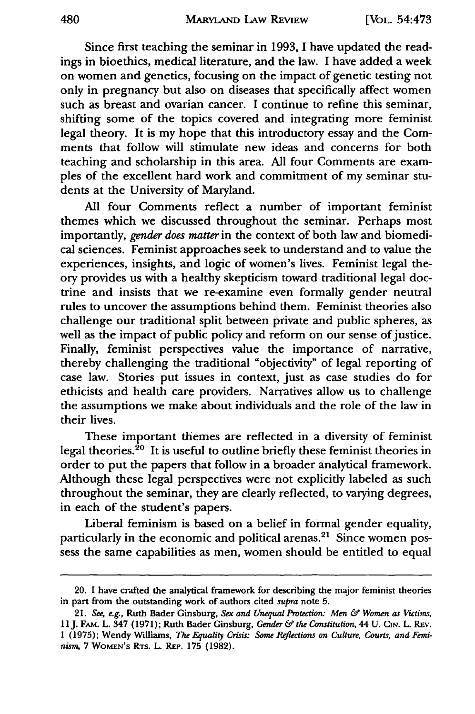Since first teaching the seminar in 1993, I have updated the readings in bioethics, medical literature, and the law. I have added a week on women and genetics, focusing on the impact of genetic testing not only in pregnancy but also on diseases that specifically affect women such as breast and ovarian cancer. I continue to refine this seminar, shifting some of the topics covered and integrating more feminist legal theory. It is my hope that this introductory essay and the Comments that follow will stimulate new ideas and concerns for both teaching and scholarship in this area. All four Comments are examples of the excellent hard work and commitment of my seminar students at the University of Maryland.

All four Comments reflect a number of important feminist themes which we discussed throughout the seminar. Perhaps most importantly, gender does matter in the context of both law and biomedical sciences. Feminist approaches seek to understand and to value the experiences, insights, and logic of women's lives. Feminist legal theory provides us with a healthy skepticism toward traditional legal doctrine and insists that we re-examine even formally gender neutral rules to uncover the assumptions behind them. Feminist theories also challenge our traditional split between private and public spheres, as well as the impact of public policy and reform on our sense of justice. Finally, feminist perspectives value the importance of narrative, thereby challenging the traditional "objectivity" of legal reporting of case law. Stories put issues in context, just as case studies do for ethicists and health care providers. Narratives allow us to challenge the assumptions we make about individuals and the role of the law in their lives.

These important themes are reflected in a diversity of feminist legal theories. $20$  It is useful to outline briefly these feminist theories in order to put the papers that follow in a broader analytical framework. Although these legal perspectives were not explicitly labeled as such throughout the seminar, they are clearly reflected, to varying degrees, in each of the student's papers.

Liberal feminism is based on a belief in formal gender equality, particularly in the economic and political arenas.<sup>21</sup> Since women possess the same capabilities as men, women should be entitled to equal

<sup>20.</sup> I have crafted the analytical framework for describing the major feminist theories in part from the outstanding work of authors cited supra note **5.**

<sup>21.</sup> *See, e.g.,* Ruth Bader Ginsburg, *Sex and Unequal Protection: Men & Women as Victims,* **I IJ.** FAM. L. 347 (1971); Ruth Bader Ginsburg, *Gender & the Constitution,* 44 U. **CIN.** L. REv. 1 (1975); Wendy Williams, *The Equality Crisis: Some Reflections on Culture, Courts, and Feminism,* 7 WOMEN'S Rrs. L. REP. **175** (1982).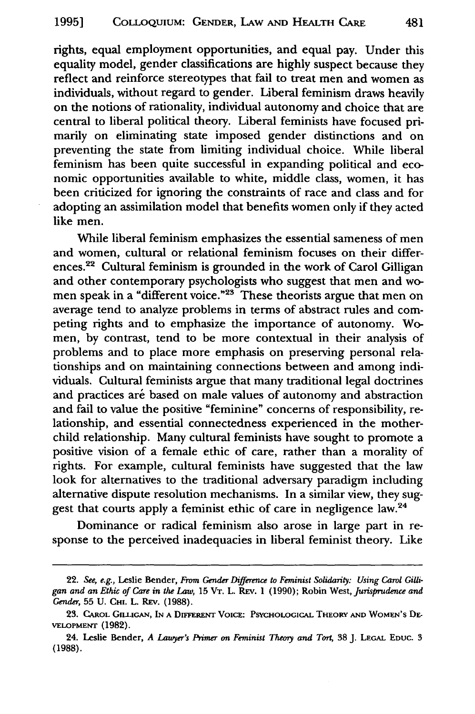rights, equal employment opportunities, and equal pay. Under this equality model, gender classifications are highly suspect because they reflect and reinforce stereotypes that fail to treat men and women as individuals, without regard to gender. Liberal feminism draws heavily on the notions of rationality, individual autonomy and choice that are central to liberal political theory. Liberal feminists have focused primarily on eliminating state imposed gender distinctions and on preventing the state from limiting individual choice. While liberal feminism has been quite successful in expanding political and economic opportunities available to white, middle class, women, it has been criticized for ignoring the constraints of race and class and for adopting an assimilation model that benefits women only if they acted like men.

While liberal feminism emphasizes the essential sameness of men and women, cultural or relational feminism focuses on their differences.<sup>22</sup> Cultural feminism is grounded in the work of Carol Gilligan and other contemporary psychologists who suggest that men and women speak in a "different voice."<sup>23</sup> These theorists argue that men on average tend to analyze problems in terms of abstract rules and competing rights and to emphasize the importance of autonomy. Women, **by** contrast, tend to be more contextual in their analysis of problems and to place more emphasis on preserving personal relationships and on maintaining connections between and among individuals. Cultural feminists argue that many traditional legal doctrines and practices are based on male values of autonomy and abstraction and fail to value the positive "feminine" concerns of responsibility, relationship, and essential connectedness experienced in the motherchild relationship. Many cultural feminists have sought to promote a positive vision of a female ethic of care, rather than a morality of rights. For example, cultural feminists have suggested that the law look for alternatives to the traditional adversary paradigm including alternative dispute resolution mechanisms. In a similar view, they suggest that courts apply a feminist ethic of care in negligence law.<sup>24</sup>

Dominance or radical feminism also arose in large part in response to the perceived inadequacies in liberal feminist theory. Like

<sup>22.</sup> *See, e.g.,* Leslie Bender, *From Gender Difference to Feminist Solidarity: Using Carol Gilligan and an Ethic of Care in the Law,* 15 VT. L. REv. 1 (1990); Robin West, *Jurisprudence and Gender,* 55 U. **CHI.** L. REv. (1988).

<sup>23.</sup> CAROL GILLIGAN, IN A DIFFERENT VOICE: PSYCHOLOGICAL THEORY AND WOMEN'S DE-**VELOPMENT (1982).**

<sup>24.</sup> Leslie Bender, *A Lawyer's Trimer on Feminist Theory and Tort,* **38 J. LEGAL EDUC. 3 (1988).**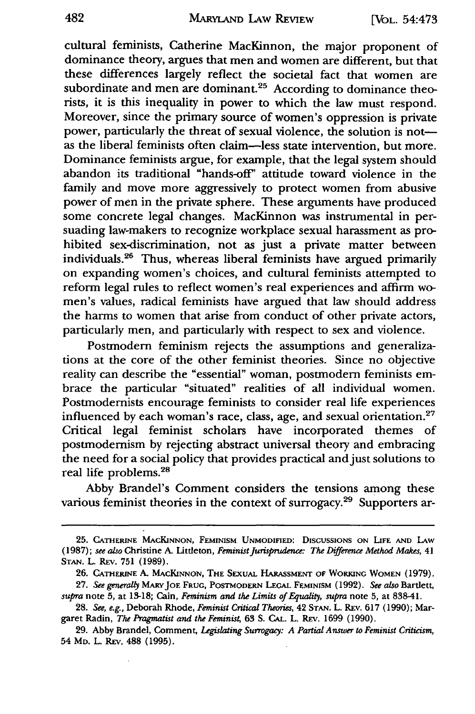cultural feminists, Catherine MacKinnon, the major proponent of dominance theory, argues that men and women are different, but that these differences largely reflect the societal fact that women are subordinate and men are dominant.<sup>25</sup> According to dominance theorists, it is this inequality in power to which the law must respond. Moreover, since the primary source of women's oppression is private power, particularly the threat of sexual violence, the solution is notas the liberal feminists often claim-less state intervention, but more. Dominance feminists argue, for example, that the legal system should abandon its traditional "hands-off' attitude toward violence in the family and move more aggressively to protect women from abusive power of men in the private sphere. These arguments have produced some concrete legal changes. MacKinnon was instrumental in persuading law-makers to recognize workplace sexual harassment as prohibited sex-discrimination, not as just a private matter between individuals.<sup>26</sup> Thus, whereas liberal feminists have argued primarily on expanding women's choices, and cultural feminists attempted to reform legal rules to reflect women's real experiences and affirm women's values, radical feminists have argued that law should address the harms to women that arise from conduct of other private actors, particularly men, and particularly with respect to sex and violence.

Postmodern feminism rejects the assumptions and generalizations at the core of the other feminist theories. Since no objective reality can describe the "essential" woman, postmodem feminists embrace the particular "situated" realities of all individual women. Postmodernists encourage feminists to consider real life experiences influenced by each woman's race, class, age, and sexual orientation. $27$ Critical legal feminist scholars have incorporated themes of postmodernism by rejecting abstract universal theory and embracing the need for a social policy that provides practical and just solutions to real life problems.28

Abby Brandel's Comment considers the tensions among these various feminist theories in the context of surrogacy.<sup>29</sup> Supporters ar-

**<sup>25.</sup>** CATHERINE **MACKINNON, FEMINISM UNMODIFIED: DISCUSSIONS ON LIFE AND** LAW (1987); *see also* Christine *A.* Littleton, *Feminist Jurisprudence: The Difference Method Makes,* 41 STAN. L. REv. 751 (1989).

**<sup>26.</sup> CATHERINE A.** MACINNON, THE **SEXUAL HARASSMENT** OF **WORKING** WOMEN (1979).

**<sup>27.</sup>** *See generally* MARYJOE **FRUG,** POSTMODERN **LEGAL FEMINISM** (1992). *See also* Bartlett, *supra* note 5, at 13-18; Cain, *Feminism and the Limits of Equality, supra* note 5, at 838-41.

<sup>28.</sup> *See, e.g.,* Deborah Rhode, *Feminist* Critical *Theories,* 42 **STAN.** L. REV. 617 (1990); Margaret Radin, *The Pragmatist and the Feminis4* 63 S. CAL. L. REv. 1699 (1990).

**<sup>29.</sup>** Abby Brandel, Comment, *Legislating* Surrogacy: *A Partial Answer to Feminist Criticism,* 54 MD. L. **REv. 488 (1995).**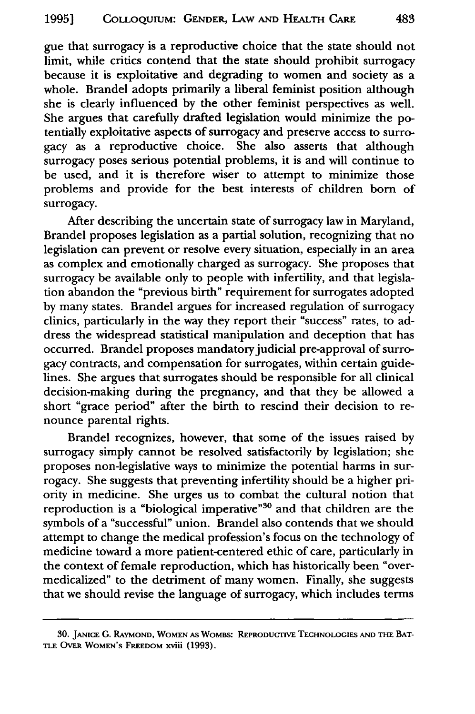gue that surrogacy is a reproductive choice that the state should not limit, while critics contend that the state should prohibit surrogacy because it is exploitative and degrading to women and society as a whole. Brandel adopts primarily a liberal feminist position although she is clearly influenced by the other feminist perspectives as well. She argues that carefully drafted legislation would minimize the potentially exploitative aspects of surrogacy and preserve access to surrogacy as a reproductive choice. She also asserts that although surrogacy poses serious potential problems, it is and will continue to be used, and it is therefore wiser to attempt to minimize those problems and provide for the best interests of children born of surrogacy.

After describing the uncertain state of surrogacy law in Maryland, Brandel proposes legislation as a partial solution, recognizing that no legislation can prevent or resolve every situation, especially in an area as complex and emotionally charged as surrogacy. She proposes that surrogacy be available only to people with infertility, and that legislation abandon the "previous birth" requirement for surrogates adopted by many states. Brandel argues for increased regulation of surrogacy clinics, particularly in the way they report their "success" rates, to address the widespread statistical manipulation and deception that has occurred. Brandel proposes mandatory judicial pre-approval of surrogacy contracts, and compensation for surrogates, within certain guidelines. She argues that surrogates should be responsible for all clinical decision-making during the pregnancy, and that they be allowed a short "grace period" after the birth to rescind their decision to renounce parental rights.

Brandel recognizes, however, that some of the issues raised by surrogacy simply cannot be resolved satisfactorily by legislation; she proposes non-legislative ways to minimize the potential harms in surrogacy. She suggests that preventing infertility should be a higher priority in medicine. She urges us to combat the cultural notion that reproduction is a "biological imperative"<sup>30</sup> and that children are the symbols of a "successful" union. Brandel also contends that we should attempt to change the medical profession's focus on the technology of medicine toward a more patient-centered ethic of care, particularly in the context of female reproduction, which has historically been "overmedicalized" to the detriment of many women. Finally, she suggests that we should revise the language of surrogacy, which includes terms

**<sup>30.</sup>** JANICE **G.** RAYMOND, **WOMEN AS** WOMBS: **REPRODUCTIVE TECHNOLOGIES AND THE BAT-**TLE OVER WOMEN'S FREEDOM xviii **(1993).**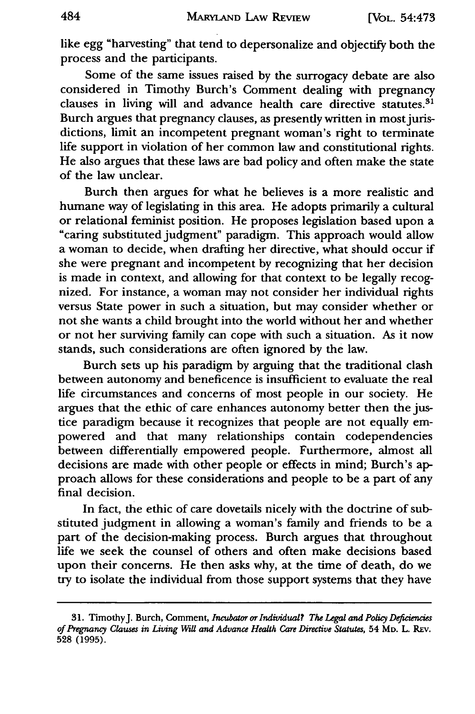like egg "harvesting" that tend to depersonalize and objectify both the process and the participants.

Some of the same issues raised by the surrogacy debate are also considered in Timothy Burch's Comment dealing with pregnancy clauses in living will and advance health care directive statutes.<sup>31</sup> Burch argues that pregnancy clauses, as presently written in most jurisdictions, limit an incompetent pregnant woman's right to terminate life support in violation of her common law and constitutional rights. He also argues that these laws are bad policy and often make the state of the law unclear.

Burch then argues for what he believes is a more realistic and humane way of legislating in this area. He adopts primarily a cultural or relational feminist position. He proposes legislation based upon a "caring substituted judgment" paradigm. This approach would allow a woman to decide, when drafting her directive, what should occur if she were pregnant and incompetent by recognizing that her decision is made in context, and allowing for that context to be legally recognized. For instance, a woman may not consider her individual rights versus State power in such a situation, but may consider whether or not she wants a child brought into the world without her and whether or not her surviving family can cope with such a situation. As it now stands, such considerations are often ignored by the law.

Burch sets up his paradigm by arguing that the traditional clash between autonomy and beneficence is insufficient to evaluate the real life circumstances and concerns of most people in our society. He argues that the ethic of care enhances autonomy better then the justice paradigm because it recognizes that people are not equally empowered and that many relationships contain codependencies between differentially empowered people. Furthermore, almost all decisions are made with other people or effects in mind; Burch's approach allows for these considerations and people to be a part of any final decision.

In fact, the ethic of care dovetails nicely with the doctrine of substituted judgment in allowing a woman's family and friends to be a part of the decision-making process. Burch argues that throughout life we seek the counsel of others and often make decisions based upon their concerns. He then asks why, at the time of death, do we try to isolate the individual from those support systems that they have

<sup>31.</sup> TimothyJ. Burch, Comment, *Incubator or lndividual? The Legal and Policy Defiziencies of Pregnancy Clauses in Living Will and Advance Health Care Directive Statutes,* 54 MD. L. REv. 528 **(1995).**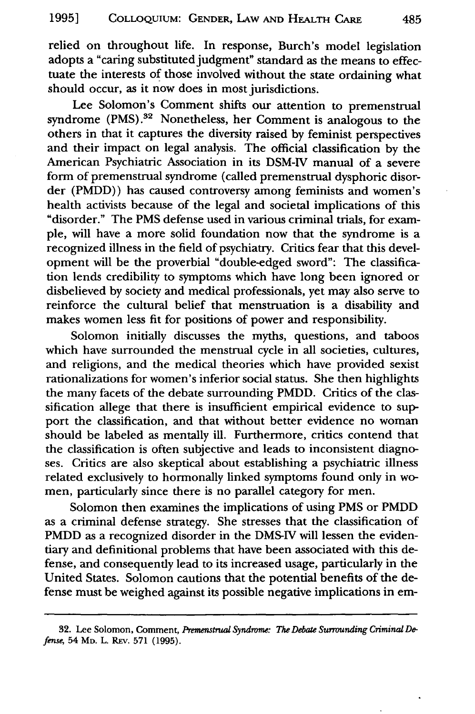relied on throughout life. In response, Burch's model legislation adopts a "caring substituted judgment" standard as the means to effectuate the interests of those involved without the state ordaining what should occur, as it now does in most jurisdictions.

Lee Solomon's Comment shifts our attention to premenstrual syndrome (PMS).<sup>32</sup> Nonetheless, her Comment is analogous to the others in that it captures the diversity raised by feminist perspectives and their impact on legal analysis. The official classification by the American Psychiatric Association in its DSM-IV manual of a severe form of premenstrual syndrome (called premenstrual dysphoric disorder (PMDD)) has caused controversy among feminists and women's health activists because of the legal and societal implications of this "disorder." The PMS defense used in various criminal trials, for example, will have a more solid foundation now that the syndrome is a recognized illness in the field of psychiatry. Critics fear that this development will be the proverbial "double-edged sword": The classification lends credibility to symptoms which have long been ignored or disbelieved by society and medical professionals, yet may also serve to reinforce the cultural belief that menstruation is a disability and makes women less fit for positions of power and responsibility.

Solomon initially discusses the myths, questions, and taboos which have surrounded the menstrual cycle in all societies, cultures, and religions, and the medical theories which have provided sexist rationalizations for women's inferior social status. She then highlights the many facets of the debate surrounding PMDD. Critics of the classification allege that there is insufficient empirical evidence to support the classification, and that without better evidence no woman should be labeled as mentally ill. Furthermore, critics contend that the classification is often subjective and leads to inconsistent diagnoses. Critics are also skeptical about establishing a psychiatric illness related exclusively to hormonally linked symptoms found only in women, particularly since there is no parallel category for men.

Solomon then examines the implications of using PMS or PMDD as a criminal defense strategy. She stresses that the classification of PMDD as a recognized disorder in the DMS-IV will lessen the evidentiary and definitional problems that have been associated with this defense, and consequently lead to its increased usage, particularly in the United States. Solomon cautions that the potential benefits of the defense must be weighed against its possible negative implications in em-

<sup>32.</sup> Lee Solomon, Comment, *Premenstrual Syndrome: The Debate Surrounding Criminal Defense,* 54 MD. L. REV. 571 (1995).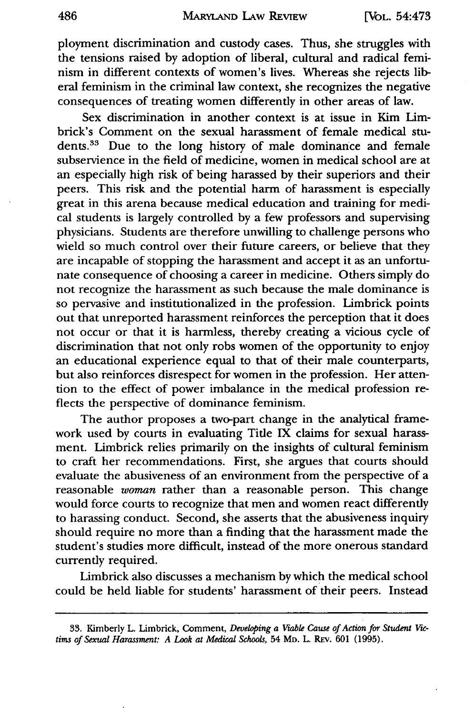ployment discrimination and custody cases. Thus, she struggles with the tensions raised by adoption of liberal, cultural and radical feminism in different contexts of women's lives. Whereas she rejects liberal feminism in the criminal law context, she recognizes the negative consequences of treating women differently in other areas of law.

Sex discrimination in another context is at issue in Kim Limbrick's Comment on the sexual harassment of female medical students.<sup>33</sup> Due to the long history of male dominance and female subservience in the field of medicine, women in medical school are at an especially high risk of being harassed by their superiors and their peers. This risk and the potential harm of harassment is especially great in this arena because medical education and training for medical students is largely controlled by a few professors and supervising physicians. Students are therefore unwilling to challenge persons who wield so much control over their future careers, or believe that they are incapable of stopping the harassment and accept it as an unfortunate consequence of choosing a career in medicine. Others simply do not recognize the harassment as such because the male dominance is so pervasive and institutionalized in the profession. Limbrick points out that unreported harassment reinforces the perception that it does not occur or that it is harmless, thereby creating a vicious cycle of discrimination that not only robs women of the opportunity to enjoy an educational experience equal to that of their male counterparts, but also reinforces disrespect for women in the profession. Her attention to the effect of power imbalance in the medical profession reflects the perspective of dominance feminism.

The author proposes a two-part change in the analytical framework used by courts in evaluating Tide IX claims for sexual harassment. Limbrick relies primarily on the insights of cultural feminism to craft her recommendations. First, she argues that courts should evaluate the abusiveness of an environment from the perspective of a reasonable *woman* rather than a reasonable person. This change would force courts to recognize that men and women react differently to harassing conduct. Second, she asserts that the abusiveness inquiry should require no more than a finding that the harassment made the student's studies more difficult, instead of the more onerous standard currently required.

Limbrick also discusses a mechanism by which the medical school could be held liable for students' harassment of their peers. Instead

<sup>33.</sup> Kimberly L. Limbrick, Comment, *Developing a Viable Cause of Action for Student Victims of Sexual Harassment: A Look at Medical Schools,* 54 MD. L. REv. 601 (1995).